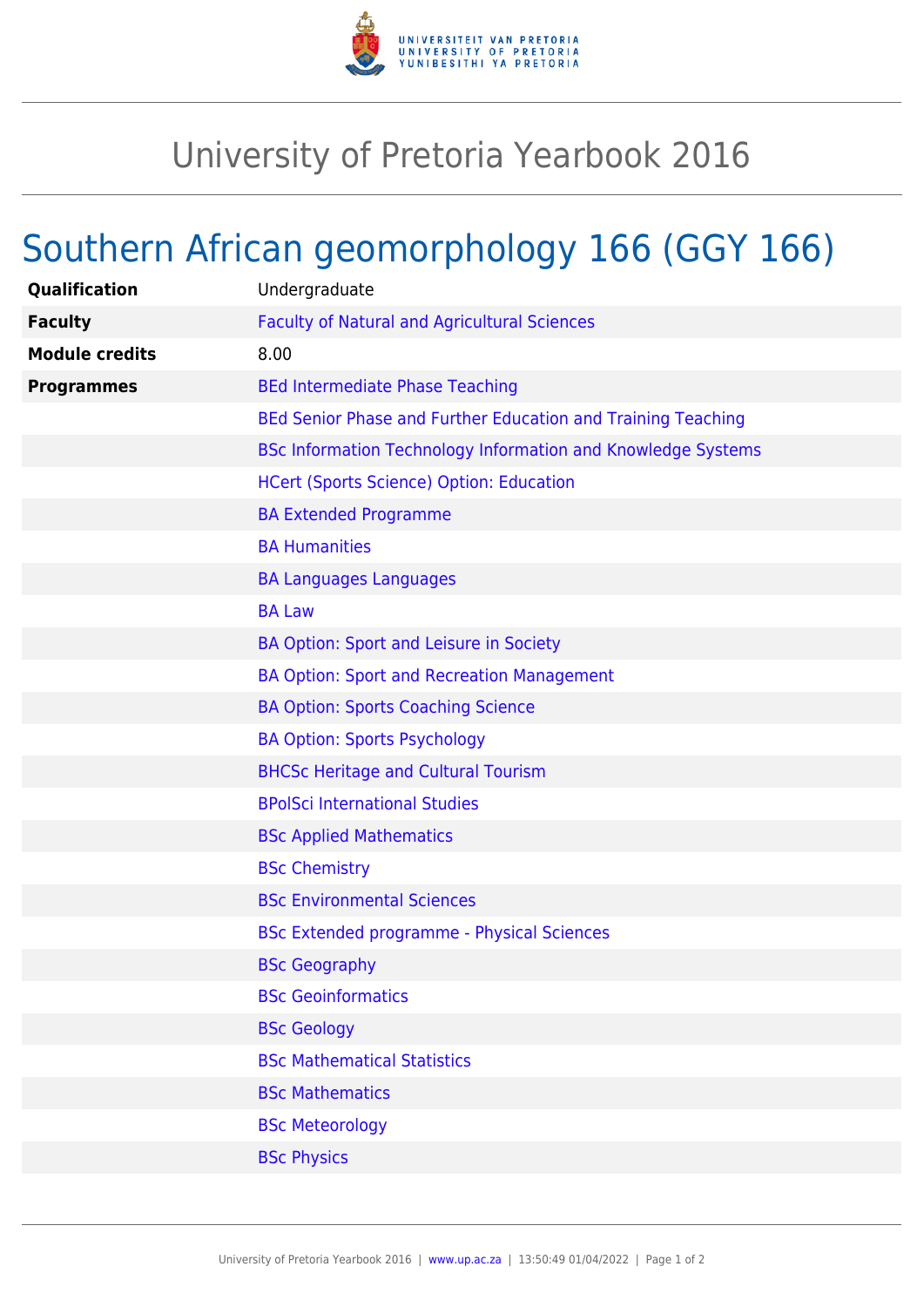

## University of Pretoria Yearbook 2016

## Southern African geomorphology 166 (GGY 166)

| Qualification         | Undergraduate                                                       |
|-----------------------|---------------------------------------------------------------------|
| <b>Faculty</b>        | <b>Faculty of Natural and Agricultural Sciences</b>                 |
| <b>Module credits</b> | 8.00                                                                |
| <b>Programmes</b>     | <b>BEd Intermediate Phase Teaching</b>                              |
|                       | BEd Senior Phase and Further Education and Training Teaching        |
|                       | <b>BSc Information Technology Information and Knowledge Systems</b> |
|                       | <b>HCert (Sports Science) Option: Education</b>                     |
|                       | <b>BA Extended Programme</b>                                        |
|                       | <b>BA Humanities</b>                                                |
|                       | <b>BA Languages Languages</b>                                       |
|                       | <b>BA Law</b>                                                       |
|                       | BA Option: Sport and Leisure in Society                             |
|                       | <b>BA Option: Sport and Recreation Management</b>                   |
|                       | <b>BA Option: Sports Coaching Science</b>                           |
|                       | <b>BA Option: Sports Psychology</b>                                 |
|                       | <b>BHCSc Heritage and Cultural Tourism</b>                          |
|                       | <b>BPolSci International Studies</b>                                |
|                       | <b>BSc Applied Mathematics</b>                                      |
|                       | <b>BSc Chemistry</b>                                                |
|                       | <b>BSc Environmental Sciences</b>                                   |
|                       | <b>BSc Extended programme - Physical Sciences</b>                   |
|                       | <b>BSc Geography</b>                                                |
|                       | <b>BSc Geoinformatics</b>                                           |
|                       | <b>BSc Geology</b>                                                  |
|                       | <b>BSc Mathematical Statistics</b>                                  |
|                       | <b>BSc Mathematics</b>                                              |
|                       | <b>BSc Meteorology</b>                                              |
|                       | <b>BSc Physics</b>                                                  |
|                       |                                                                     |